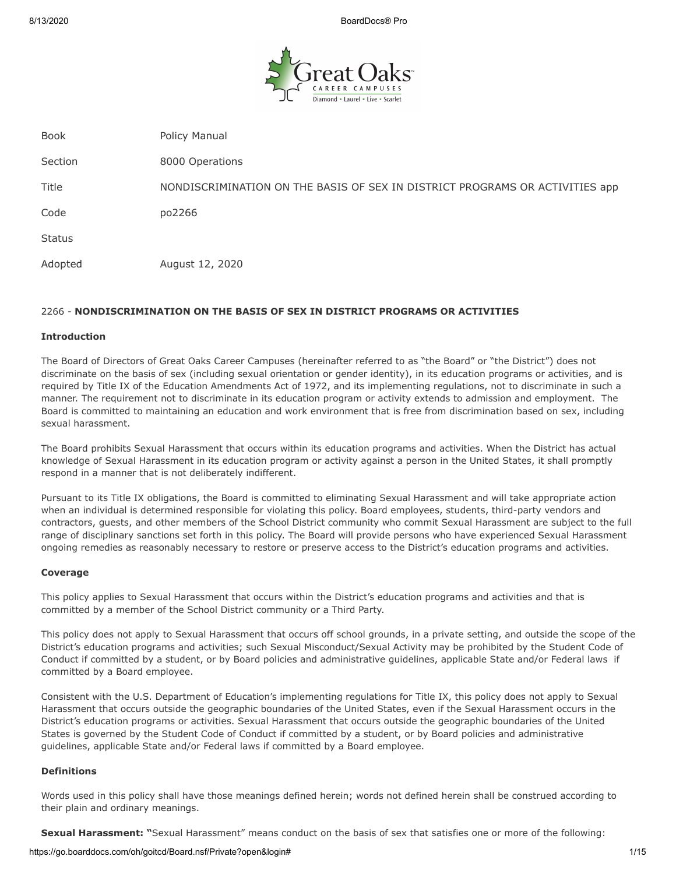

Book **Policy Manual** Section 8000 Operations Title NONDISCRIMINATION ON THE BASIS OF SEX IN DISTRICT PROGRAMS OR ACTIVITIES app Code po2266 **Status** Adopted August 12, 2020

# 2266 - **NONDISCRIMINATION ON THE BASIS OF SEX IN DISTRICT PROGRAMS OR ACTIVITIES**

### **Introduction**

The Board of Directors of Great Oaks Career Campuses (hereinafter referred to as "the Board" or "the District") does not discriminate on the basis of sex (including sexual orientation or gender identity), in its education programs or activities, and is required by Title IX of the Education Amendments Act of 1972, and its implementing regulations, not to discriminate in such a manner. The requirement not to discriminate in its education program or activity extends to admission and employment. The Board is committed to maintaining an education and work environment that is free from discrimination based on sex, including sexual harassment.

The Board prohibits Sexual Harassment that occurs within its education programs and activities. When the District has actual knowledge of Sexual Harassment in its education program or activity against a person in the United States, it shall promptly respond in a manner that is not deliberately indifferent.

Pursuant to its Title IX obligations, the Board is committed to eliminating Sexual Harassment and will take appropriate action when an individual is determined responsible for violating this policy. Board employees, students, third-party vendors and contractors, guests, and other members of the School District community who commit Sexual Harassment are subject to the full range of disciplinary sanctions set forth in this policy. The Board will provide persons who have experienced Sexual Harassment ongoing remedies as reasonably necessary to restore or preserve access to the District's education programs and activities.

## **Coverage**

This policy applies to Sexual Harassment that occurs within the District's education programs and activities and that is committed by a member of the School District community or a Third Party.

This policy does not apply to Sexual Harassment that occurs off school grounds, in a private setting, and outside the scope of the District's education programs and activities; such Sexual Misconduct/Sexual Activity may be prohibited by the Student Code of Conduct if committed by a student, or by Board policies and administrative guidelines, applicable State and/or Federal laws if committed by a Board employee.

Consistent with the U.S. Department of Education's implementing regulations for Title IX, this policy does not apply to Sexual Harassment that occurs outside the geographic boundaries of the United States, even if the Sexual Harassment occurs in the District's education programs or activities. Sexual Harassment that occurs outside the geographic boundaries of the United States is governed by the Student Code of Conduct if committed by a student, or by Board policies and administrative guidelines, applicable State and/or Federal laws if committed by a Board employee.

#### **Definitions**

Words used in this policy shall have those meanings defined herein; words not defined herein shall be construed according to their plain and ordinary meanings.

**Sexual Harassment: "**Sexual Harassment" means conduct on the basis of sex that satisfies one or more of the following: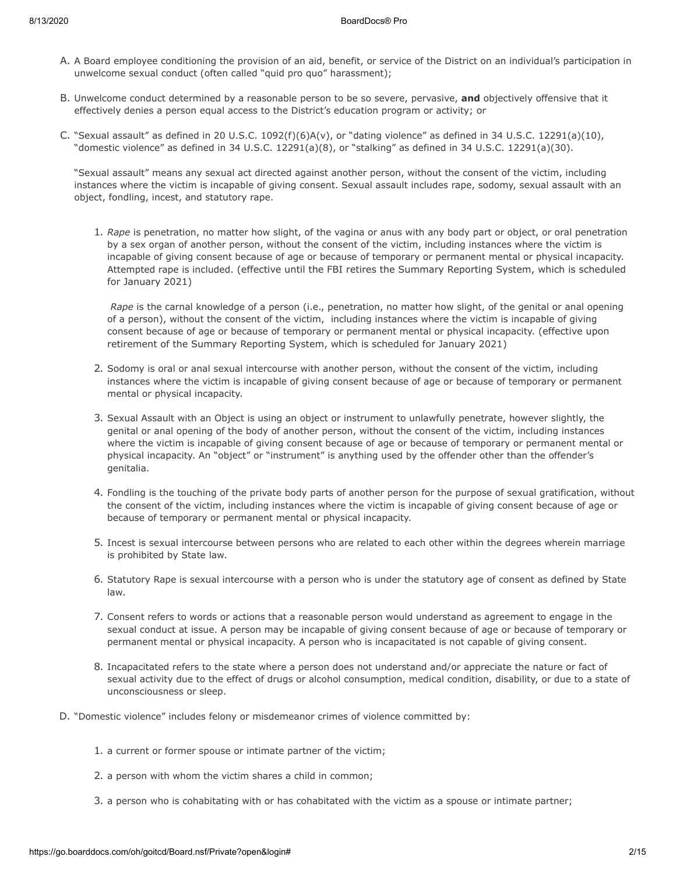- A. A Board employee conditioning the provision of an aid, benefit, or service of the District on an individual's participation in unwelcome sexual conduct (often called "quid pro quo" harassment);
- B. Unwelcome conduct determined by a reasonable person to be so severe, pervasive, **and** objectively offensive that it effectively denies a person equal access to the District's education program or activity; or
- C. "Sexual assault" as defined in 20 U.S.C. 1092(f)(6)A(v), or "dating violence" as defined in 34 U.S.C. 12291(a)(10), "domestic violence" as defined in 34 U.S.C. 12291(a)(8), or "stalking" as defined in 34 U.S.C. 12291(a)(30).

"Sexual assault" means any sexual act directed against another person, without the consent of the victim, including instances where the victim is incapable of giving consent. Sexual assault includes rape, sodomy, sexual assault with an object, fondling, incest, and statutory rape.

1. *Rape* is penetration, no matter how slight, of the vagina or anus with any body part or object, or oral penetration by a sex organ of another person, without the consent of the victim, including instances where the victim is incapable of giving consent because of age or because of temporary or permanent mental or physical incapacity. Attempted rape is included. (effective until the FBI retires the Summary Reporting System, which is scheduled for January 2021)

*Rape* is the carnal knowledge of a person (i.e., penetration, no matter how slight, of the genital or anal opening of a person), without the consent of the victim, including instances where the victim is incapable of giving consent because of age or because of temporary or permanent mental or physical incapacity. (effective upon retirement of the Summary Reporting System, which is scheduled for January 2021)

- 2. Sodomy is oral or anal sexual intercourse with another person, without the consent of the victim, including instances where the victim is incapable of giving consent because of age or because of temporary or permanent mental or physical incapacity.
- 3. Sexual Assault with an Object is using an object or instrument to unlawfully penetrate, however slightly, the genital or anal opening of the body of another person, without the consent of the victim, including instances where the victim is incapable of giving consent because of age or because of temporary or permanent mental or physical incapacity. An "object" or "instrument" is anything used by the offender other than the offender's genitalia.
- 4. Fondling is the touching of the private body parts of another person for the purpose of sexual gratification, without the consent of the victim, including instances where the victim is incapable of giving consent because of age or because of temporary or permanent mental or physical incapacity.
- 5. Incest is sexual intercourse between persons who are related to each other within the degrees wherein marriage is prohibited by State law.
- 6. Statutory Rape is sexual intercourse with a person who is under the statutory age of consent as defined by State law.
- 7. Consent refers to words or actions that a reasonable person would understand as agreement to engage in the sexual conduct at issue. A person may be incapable of giving consent because of age or because of temporary or permanent mental or physical incapacity. A person who is incapacitated is not capable of giving consent.
- 8. Incapacitated refers to the state where a person does not understand and/or appreciate the nature or fact of sexual activity due to the effect of drugs or alcohol consumption, medical condition, disability, or due to a state of unconsciousness or sleep.
- D. "Domestic violence" includes felony or misdemeanor crimes of violence committed by:
	- 1. a current or former spouse or intimate partner of the victim;
	- 2. a person with whom the victim shares a child in common;
	- 3. a person who is cohabitating with or has cohabitated with the victim as a spouse or intimate partner;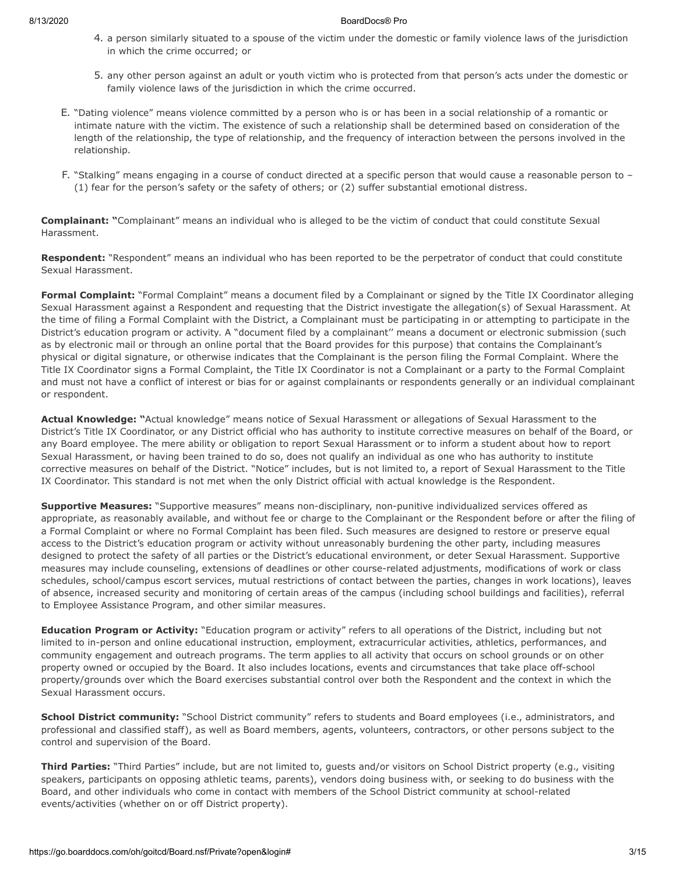- 4. a person similarly situated to a spouse of the victim under the domestic or family violence laws of the jurisdiction in which the crime occurred; or
- 5. any other person against an adult or youth victim who is protected from that person's acts under the domestic or family violence laws of the jurisdiction in which the crime occurred.
- E. "Dating violence" means violence committed by a person who is or has been in a social relationship of a romantic or intimate nature with the victim. The existence of such a relationship shall be determined based on consideration of the length of the relationship, the type of relationship, and the frequency of interaction between the persons involved in the relationship.
- F. "Stalking" means engaging in a course of conduct directed at a specific person that would cause a reasonable person to (1) fear for the person's safety or the safety of others; or (2) suffer substantial emotional distress.

**Complainant: "**Complainant" means an individual who is alleged to be the victim of conduct that could constitute Sexual Harassment.

**Respondent:** "Respondent" means an individual who has been reported to be the perpetrator of conduct that could constitute Sexual Harassment.

**Formal Complaint:** "Formal Complaint" means a document filed by a Complainant or signed by the Title IX Coordinator alleging Sexual Harassment against a Respondent and requesting that the District investigate the allegation(s) of Sexual Harassment. At the time of filing a Formal Complaint with the District, a Complainant must be participating in or attempting to participate in the District's education program or activity. A "document filed by a complainant'' means a document or electronic submission (such as by electronic mail or through an online portal that the Board provides for this purpose) that contains the Complainant's physical or digital signature, or otherwise indicates that the Complainant is the person filing the Formal Complaint. Where the Title IX Coordinator signs a Formal Complaint, the Title IX Coordinator is not a Complainant or a party to the Formal Complaint and must not have a conflict of interest or bias for or against complainants or respondents generally or an individual complainant or respondent.

**Actual Knowledge: "**Actual knowledge" means notice of Sexual Harassment or allegations of Sexual Harassment to the District's Title IX Coordinator, or any District official who has authority to institute corrective measures on behalf of the Board, or any Board employee. The mere ability or obligation to report Sexual Harassment or to inform a student about how to report Sexual Harassment, or having been trained to do so, does not qualify an individual as one who has authority to institute corrective measures on behalf of the District. "Notice" includes, but is not limited to, a report of Sexual Harassment to the Title IX Coordinator. This standard is not met when the only District official with actual knowledge is the Respondent.

**Supportive Measures:** "Supportive measures" means non-disciplinary, non-punitive individualized services offered as appropriate, as reasonably available, and without fee or charge to the Complainant or the Respondent before or after the filing of a Formal Complaint or where no Formal Complaint has been filed. Such measures are designed to restore or preserve equal access to the District's education program or activity without unreasonably burdening the other party, including measures designed to protect the safety of all parties or the District's educational environment, or deter Sexual Harassment. Supportive measures may include counseling, extensions of deadlines or other course-related adjustments, modifications of work or class schedules, school/campus escort services, mutual restrictions of contact between the parties, changes in work locations), leaves of absence, increased security and monitoring of certain areas of the campus (including school buildings and facilities), referral to Employee Assistance Program, and other similar measures.

**Education Program or Activity:** "Education program or activity" refers to all operations of the District, including but not limited to in-person and online educational instruction, employment, extracurricular activities, athletics, performances, and community engagement and outreach programs. The term applies to all activity that occurs on school grounds or on other property owned or occupied by the Board. It also includes locations, events and circumstances that take place off-school property/grounds over which the Board exercises substantial control over both the Respondent and the context in which the Sexual Harassment occurs.

**School District community:** "School District community" refers to students and Board employees (i.e., administrators, and professional and classified staff), as well as Board members, agents, volunteers, contractors, or other persons subject to the control and supervision of the Board.

**Third Parties:** "Third Parties" include, but are not limited to, guests and/or visitors on School District property (e.g., visiting speakers, participants on opposing athletic teams, parents), vendors doing business with, or seeking to do business with the Board, and other individuals who come in contact with members of the School District community at school-related events/activities (whether on or off District property).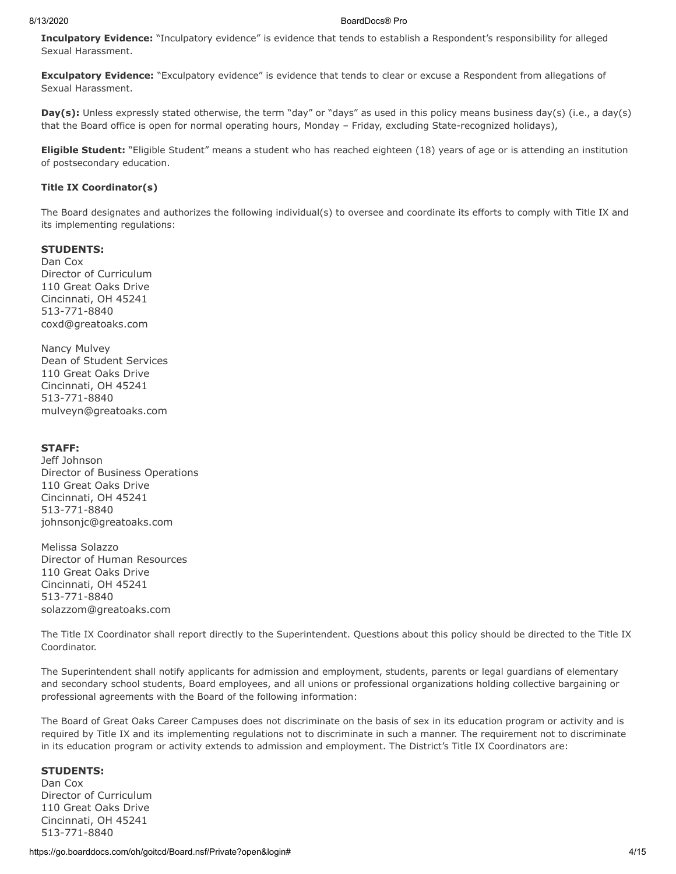**Inculpatory Evidence:** "Inculpatory evidence" is evidence that tends to establish a Respondent's responsibility for alleged Sexual Harassment.

**Exculpatory Evidence:** "Exculpatory evidence" is evidence that tends to clear or excuse a Respondent from allegations of Sexual Harassment.

**Day(s):** Unless expressly stated otherwise, the term "day" or "days" as used in this policy means business day(s) (i.e., a day(s) that the Board office is open for normal operating hours, Monday – Friday, excluding State-recognized holidays),

**Eligible Student:** "Eligible Student" means a student who has reached eighteen (18) years of age or is attending an institution of postsecondary education.

#### **Title IX Coordinator(s)**

The Board designates and authorizes the following individual(s) to oversee and coordinate its efforts to comply with Title IX and its implementing regulations:

### **STUDENTS:**

Dan Cox Director of Curriculum 110 Great Oaks Drive Cincinnati, OH 45241 513-771-8840 coxd@greatoaks.com

Nancy Mulvey Dean of Student Services 110 Great Oaks Drive Cincinnati, OH 45241 513-771-8840 mulveyn@greatoaks.com

### **STAFF:**

Jeff Johnson Director of Business Operations 110 Great Oaks Drive Cincinnati, OH 45241 513-771-8840 johnsonjc@greatoaks.com

Melissa Solazzo Director of Human Resources 110 Great Oaks Drive Cincinnati, OH 45241 513-771-8840 solazzom@greatoaks.com

The Title IX Coordinator shall report directly to the Superintendent. Questions about this policy should be directed to the Title IX Coordinator.

The Superintendent shall notify applicants for admission and employment, students, parents or legal guardians of elementary and secondary school students, Board employees, and all unions or professional organizations holding collective bargaining or professional agreements with the Board of the following information:

The Board of Great Oaks Career Campuses does not discriminate on the basis of sex in its education program or activity and is required by Title IX and its implementing regulations not to discriminate in such a manner. The requirement not to discriminate in its education program or activity extends to admission and employment. The District's Title IX Coordinators are:

# **STUDENTS:**

Dan Cox Director of Curriculum 110 Great Oaks Drive Cincinnati, OH 45241 513-771-8840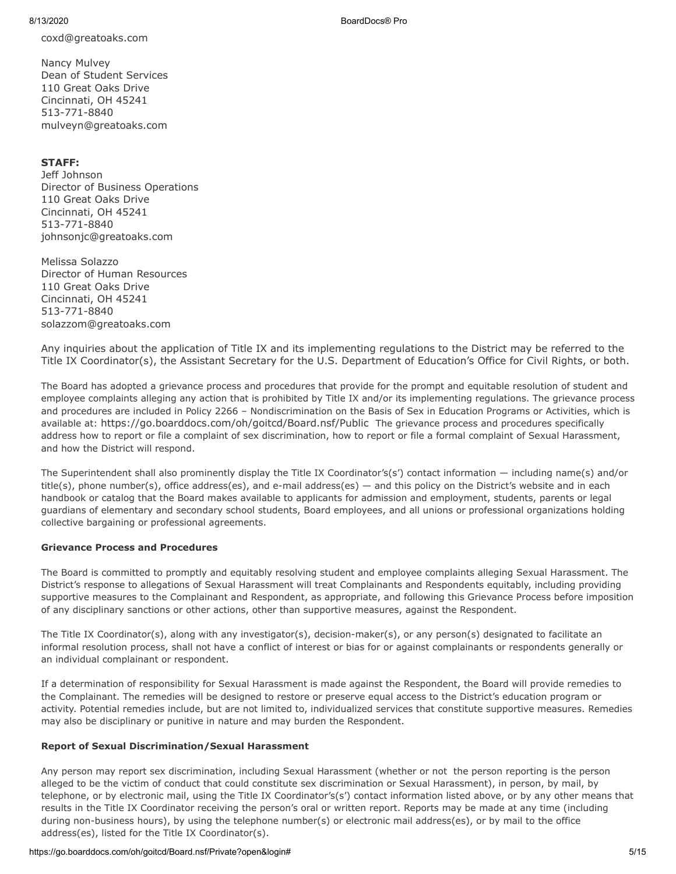coxd@greatoaks.com

Nancy Mulvey Dean of Student Services 110 Great Oaks Drive Cincinnati, OH 45241 513-771-8840 mulveyn@greatoaks.com

# **STAFF:**

Jeff Johnson Director of Business Operations 110 Great Oaks Drive Cincinnati, OH 45241 513-771-8840 johnsonjc@greatoaks.com

Melissa Solazzo Director of Human Resources 110 Great Oaks Drive Cincinnati, OH 45241 513-771-8840 solazzom@greatoaks.com

Any inquiries about the application of Title IX and its implementing regulations to the District may be referred to the Title IX Coordinator(s), the Assistant Secretary for the U.S. Department of Education's Office for Civil Rights, or both.

The Board has adopted a grievance process and procedures that provide for the prompt and equitable resolution of student and employee complaints alleging any action that is prohibited by Title IX and/or its implementing regulations. The grievance process and procedures are included in Policy 2266 – Nondiscrimination on the Basis of Sex in Education Programs or Activities, which is available at: https://go.boarddocs.com/oh/goitcd/Board.nsf/Public The grievance process and procedures specifically address how to report or file a complaint of sex discrimination, how to report or file a formal complaint of Sexual Harassment, and how the District will respond.

The Superintendent shall also prominently display the Title IX Coordinator's(s') contact information — including name(s) and/or title(s), phone number(s), office address(es), and e-mail address(es) — and this policy on the District's website and in each handbook or catalog that the Board makes available to applicants for admission and employment, students, parents or legal guardians of elementary and secondary school students, Board employees, and all unions or professional organizations holding collective bargaining or professional agreements.

# **Grievance Process and Procedures**

The Board is committed to promptly and equitably resolving student and employee complaints alleging Sexual Harassment. The District's response to allegations of Sexual Harassment will treat Complainants and Respondents equitably, including providing supportive measures to the Complainant and Respondent, as appropriate, and following this Grievance Process before imposition of any disciplinary sanctions or other actions, other than supportive measures, against the Respondent.

The Title IX Coordinator(s), along with any investigator(s), decision-maker(s), or any person(s) designated to facilitate an informal resolution process, shall not have a conflict of interest or bias for or against complainants or respondents generally or an individual complainant or respondent.

If a determination of responsibility for Sexual Harassment is made against the Respondent, the Board will provide remedies to the Complainant. The remedies will be designed to restore or preserve equal access to the District's education program or activity. Potential remedies include, but are not limited to, individualized services that constitute supportive measures. Remedies may also be disciplinary or punitive in nature and may burden the Respondent.

# **Report of Sexual Discrimination/Sexual Harassment**

Any person may report sex discrimination, including Sexual Harassment (whether or not the person reporting is the person alleged to be the victim of conduct that could constitute sex discrimination or Sexual Harassment), in person, by mail, by telephone, or by electronic mail, using the Title IX Coordinator's(s') contact information listed above, or by any other means that results in the Title IX Coordinator receiving the person's oral or written report. Reports may be made at any time (including during non-business hours), by using the telephone number(s) or electronic mail address(es), or by mail to the office address(es), listed for the Title IX Coordinator(s).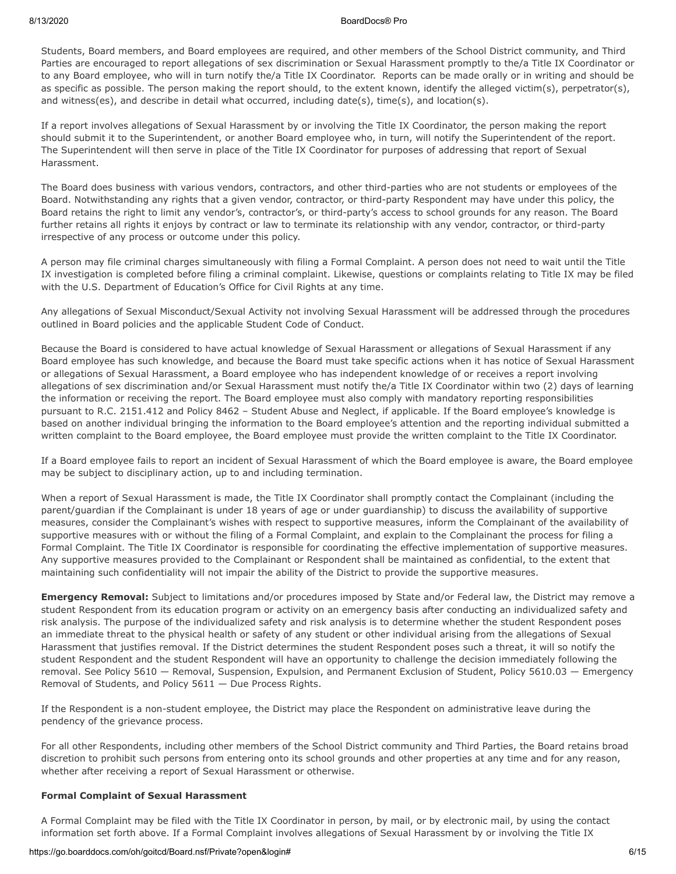Students, Board members, and Board employees are required, and other members of the School District community, and Third Parties are encouraged to report allegations of sex discrimination or Sexual Harassment promptly to the/a Title IX Coordinator or to any Board employee, who will in turn notify the/a Title IX Coordinator. Reports can be made orally or in writing and should be as specific as possible. The person making the report should, to the extent known, identify the alleged victim(s), perpetrator(s), and witness(es), and describe in detail what occurred, including date(s), time(s), and location(s).

If a report involves allegations of Sexual Harassment by or involving the Title IX Coordinator, the person making the report should submit it to the Superintendent, or another Board employee who, in turn, will notify the Superintendent of the report. The Superintendent will then serve in place of the Title IX Coordinator for purposes of addressing that report of Sexual Harassment.

The Board does business with various vendors, contractors, and other third-parties who are not students or employees of the Board. Notwithstanding any rights that a given vendor, contractor, or third-party Respondent may have under this policy, the Board retains the right to limit any vendor's, contractor's, or third-party's access to school grounds for any reason. The Board further retains all rights it enjoys by contract or law to terminate its relationship with any vendor, contractor, or third-party irrespective of any process or outcome under this policy.

A person may file criminal charges simultaneously with filing a Formal Complaint. A person does not need to wait until the Title IX investigation is completed before filing a criminal complaint. Likewise, questions or complaints relating to Title IX may be filed with the U.S. Department of Education's Office for Civil Rights at any time.

Any allegations of Sexual Misconduct/Sexual Activity not involving Sexual Harassment will be addressed through the procedures outlined in Board policies and the applicable Student Code of Conduct.

Because the Board is considered to have actual knowledge of Sexual Harassment or allegations of Sexual Harassment if any Board employee has such knowledge, and because the Board must take specific actions when it has notice of Sexual Harassment or allegations of Sexual Harassment, a Board employee who has independent knowledge of or receives a report involving allegations of sex discrimination and/or Sexual Harassment must notify the/a Title IX Coordinator within two (2) days of learning the information or receiving the report. The Board employee must also comply with mandatory reporting responsibilities pursuant to R.C. 2151.412 and Policy 8462 – Student Abuse and Neglect, if applicable. If the Board employee's knowledge is based on another individual bringing the information to the Board employee's attention and the reporting individual submitted a written complaint to the Board employee, the Board employee must provide the written complaint to the Title IX Coordinator.

If a Board employee fails to report an incident of Sexual Harassment of which the Board employee is aware, the Board employee may be subject to disciplinary action, up to and including termination.

When a report of Sexual Harassment is made, the Title IX Coordinator shall promptly contact the Complainant (including the parent/guardian if the Complainant is under 18 years of age or under guardianship) to discuss the availability of supportive measures, consider the Complainant's wishes with respect to supportive measures, inform the Complainant of the availability of supportive measures with or without the filing of a Formal Complaint, and explain to the Complainant the process for filing a Formal Complaint. The Title IX Coordinator is responsible for coordinating the effective implementation of supportive measures. Any supportive measures provided to the Complainant or Respondent shall be maintained as confidential, to the extent that maintaining such confidentiality will not impair the ability of the District to provide the supportive measures.

**Emergency Removal:** Subject to limitations and/or procedures imposed by State and/or Federal law, the District may remove a student Respondent from its education program or activity on an emergency basis after conducting an individualized safety and risk analysis. The purpose of the individualized safety and risk analysis is to determine whether the student Respondent poses an immediate threat to the physical health or safety of any student or other individual arising from the allegations of Sexual Harassment that justifies removal. If the District determines the student Respondent poses such a threat, it will so notify the student Respondent and the student Respondent will have an opportunity to challenge the decision immediately following the removal. See Policy 5610 — Removal, Suspension, Expulsion, and Permanent Exclusion of Student, Policy 5610.03 — Emergency Removal of Students, and Policy 5611 — Due Process Rights.

If the Respondent is a non-student employee, the District may place the Respondent on administrative leave during the pendency of the grievance process.

For all other Respondents, including other members of the School District community and Third Parties, the Board retains broad discretion to prohibit such persons from entering onto its school grounds and other properties at any time and for any reason, whether after receiving a report of Sexual Harassment or otherwise.

## **Formal Complaint of Sexual Harassment**

A Formal Complaint may be filed with the Title IX Coordinator in person, by mail, or by electronic mail, by using the contact information set forth above. If a Formal Complaint involves allegations of Sexual Harassment by or involving the Title IX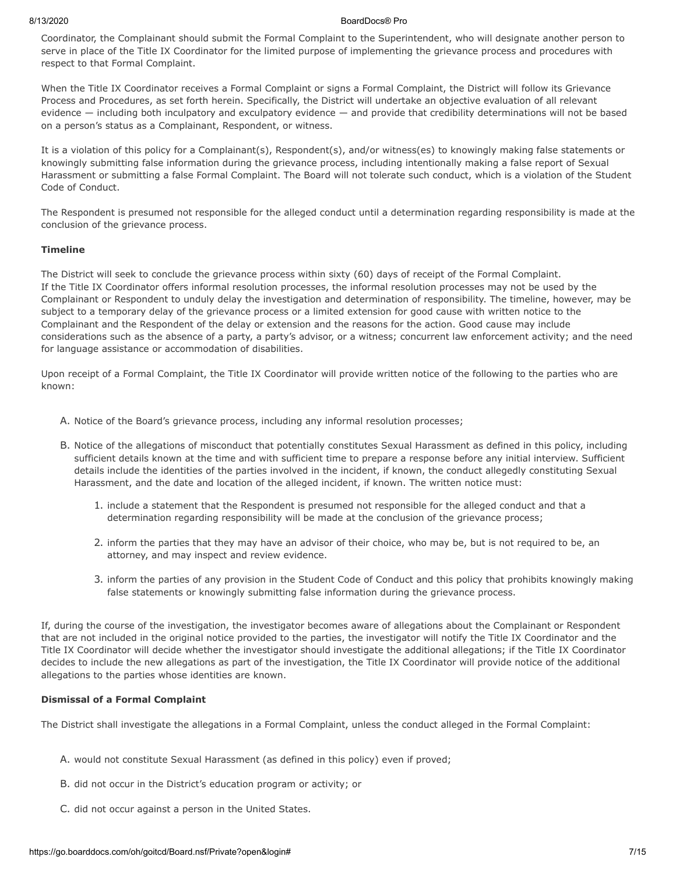Coordinator, the Complainant should submit the Formal Complaint to the Superintendent, who will designate another person to serve in place of the Title IX Coordinator for the limited purpose of implementing the grievance process and procedures with respect to that Formal Complaint.

When the Title IX Coordinator receives a Formal Complaint or signs a Formal Complaint, the District will follow its Grievance Process and Procedures, as set forth herein. Specifically, the District will undertake an objective evaluation of all relevant evidence — including both inculpatory and exculpatory evidence — and provide that credibility determinations will not be based on a person's status as a Complainant, Respondent, or witness.

It is a violation of this policy for a Complainant(s), Respondent(s), and/or witness(es) to knowingly making false statements or knowingly submitting false information during the grievance process, including intentionally making a false report of Sexual Harassment or submitting a false Formal Complaint. The Board will not tolerate such conduct, which is a violation of the Student Code of Conduct.

The Respondent is presumed not responsible for the alleged conduct until a determination regarding responsibility is made at the conclusion of the grievance process.

#### **Timeline**

The District will seek to conclude the grievance process within sixty (60) days of receipt of the Formal Complaint. If the Title IX Coordinator offers informal resolution processes, the informal resolution processes may not be used by the Complainant or Respondent to unduly delay the investigation and determination of responsibility. The timeline, however, may be subject to a temporary delay of the grievance process or a limited extension for good cause with written notice to the Complainant and the Respondent of the delay or extension and the reasons for the action. Good cause may include considerations such as the absence of a party, a party's advisor, or a witness; concurrent law enforcement activity; and the need for language assistance or accommodation of disabilities.

Upon receipt of a Formal Complaint, the Title IX Coordinator will provide written notice of the following to the parties who are known:

- A. Notice of the Board's grievance process, including any informal resolution processes;
- B. Notice of the allegations of misconduct that potentially constitutes Sexual Harassment as defined in this policy, including sufficient details known at the time and with sufficient time to prepare a response before any initial interview. Sufficient details include the identities of the parties involved in the incident, if known, the conduct allegedly constituting Sexual Harassment, and the date and location of the alleged incident, if known. The written notice must:
	- 1. include a statement that the Respondent is presumed not responsible for the alleged conduct and that a determination regarding responsibility will be made at the conclusion of the grievance process;
	- 2. inform the parties that they may have an advisor of their choice, who may be, but is not required to be, an attorney, and may inspect and review evidence.
	- 3. inform the parties of any provision in the Student Code of Conduct and this policy that prohibits knowingly making false statements or knowingly submitting false information during the grievance process.

If, during the course of the investigation, the investigator becomes aware of allegations about the Complainant or Respondent that are not included in the original notice provided to the parties, the investigator will notify the Title IX Coordinator and the Title IX Coordinator will decide whether the investigator should investigate the additional allegations; if the Title IX Coordinator decides to include the new allegations as part of the investigation, the Title IX Coordinator will provide notice of the additional allegations to the parties whose identities are known.

## **Dismissal of a Formal Complaint**

The District shall investigate the allegations in a Formal Complaint, unless the conduct alleged in the Formal Complaint:

- A. would not constitute Sexual Harassment (as defined in this policy) even if proved;
- B. did not occur in the District's education program or activity; or
- C. did not occur against a person in the United States.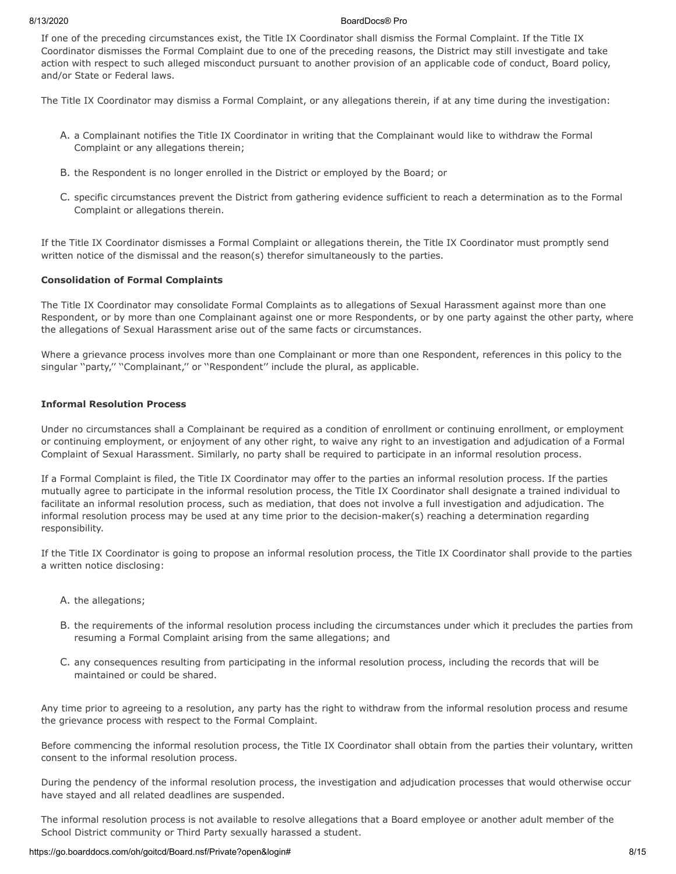If one of the preceding circumstances exist, the Title IX Coordinator shall dismiss the Formal Complaint. If the Title IX Coordinator dismisses the Formal Complaint due to one of the preceding reasons, the District may still investigate and take action with respect to such alleged misconduct pursuant to another provision of an applicable code of conduct, Board policy, and/or State or Federal laws.

The Title IX Coordinator may dismiss a Formal Complaint, or any allegations therein, if at any time during the investigation:

- A. a Complainant notifies the Title IX Coordinator in writing that the Complainant would like to withdraw the Formal Complaint or any allegations therein;
- B. the Respondent is no longer enrolled in the District or employed by the Board; or
- C. specific circumstances prevent the District from gathering evidence sufficient to reach a determination as to the Formal Complaint or allegations therein.

If the Title IX Coordinator dismisses a Formal Complaint or allegations therein, the Title IX Coordinator must promptly send written notice of the dismissal and the reason(s) therefor simultaneously to the parties.

## **Consolidation of Formal Complaints**

The Title IX Coordinator may consolidate Formal Complaints as to allegations of Sexual Harassment against more than one Respondent, or by more than one Complainant against one or more Respondents, or by one party against the other party, where the allegations of Sexual Harassment arise out of the same facts or circumstances.

Where a grievance process involves more than one Complainant or more than one Respondent, references in this policy to the singular "party," "Complainant," or "Respondent" include the plural, as applicable.

### **Informal Resolution Process**

Under no circumstances shall a Complainant be required as a condition of enrollment or continuing enrollment, or employment or continuing employment, or enjoyment of any other right, to waive any right to an investigation and adjudication of a Formal Complaint of Sexual Harassment. Similarly, no party shall be required to participate in an informal resolution process.

If a Formal Complaint is filed, the Title IX Coordinator may offer to the parties an informal resolution process. If the parties mutually agree to participate in the informal resolution process, the Title IX Coordinator shall designate a trained individual to facilitate an informal resolution process, such as mediation, that does not involve a full investigation and adjudication. The informal resolution process may be used at any time prior to the decision-maker(s) reaching a determination regarding responsibility.

If the Title IX Coordinator is going to propose an informal resolution process, the Title IX Coordinator shall provide to the parties a written notice disclosing:

- A. the allegations;
- B. the requirements of the informal resolution process including the circumstances under which it precludes the parties from resuming a Formal Complaint arising from the same allegations; and
- C. any consequences resulting from participating in the informal resolution process, including the records that will be maintained or could be shared.

Any time prior to agreeing to a resolution, any party has the right to withdraw from the informal resolution process and resume the grievance process with respect to the Formal Complaint.

Before commencing the informal resolution process, the Title IX Coordinator shall obtain from the parties their voluntary, written consent to the informal resolution process.

During the pendency of the informal resolution process, the investigation and adjudication processes that would otherwise occur have stayed and all related deadlines are suspended.

The informal resolution process is not available to resolve allegations that a Board employee or another adult member of the School District community or Third Party sexually harassed a student.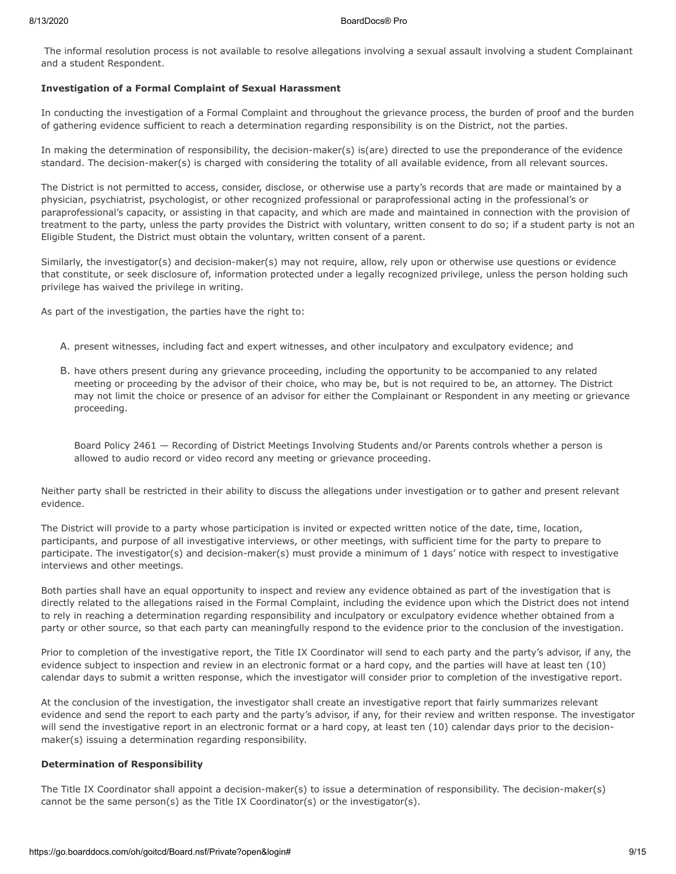The informal resolution process is not available to resolve allegations involving a sexual assault involving a student Complainant and a student Respondent.

### **Investigation of a Formal Complaint of Sexual Harassment**

In conducting the investigation of a Formal Complaint and throughout the grievance process, the burden of proof and the burden of gathering evidence sufficient to reach a determination regarding responsibility is on the District, not the parties.

In making the determination of responsibility, the decision-maker(s) is(are) directed to use the preponderance of the evidence standard. The decision-maker(s) is charged with considering the totality of all available evidence, from all relevant sources.

The District is not permitted to access, consider, disclose, or otherwise use a party's records that are made or maintained by a physician, psychiatrist, psychologist, or other recognized professional or paraprofessional acting in the professional's or paraprofessional's capacity, or assisting in that capacity, and which are made and maintained in connection with the provision of treatment to the party, unless the party provides the District with voluntary, written consent to do so; if a student party is not an Eligible Student, the District must obtain the voluntary, written consent of a parent.

Similarly, the investigator(s) and decision-maker(s) may not require, allow, rely upon or otherwise use questions or evidence that constitute, or seek disclosure of, information protected under a legally recognized privilege, unless the person holding such privilege has waived the privilege in writing.

As part of the investigation, the parties have the right to:

- A. present witnesses, including fact and expert witnesses, and other inculpatory and exculpatory evidence; and
- B. have others present during any grievance proceeding, including the opportunity to be accompanied to any related meeting or proceeding by the advisor of their choice, who may be, but is not required to be, an attorney. The District may not limit the choice or presence of an advisor for either the Complainant or Respondent in any meeting or grievance proceeding.

Board Policy 2461 — Recording of District Meetings Involving Students and/or Parents controls whether a person is allowed to audio record or video record any meeting or grievance proceeding.

Neither party shall be restricted in their ability to discuss the allegations under investigation or to gather and present relevant evidence.

The District will provide to a party whose participation is invited or expected written notice of the date, time, location, participants, and purpose of all investigative interviews, or other meetings, with sufficient time for the party to prepare to participate. The investigator(s) and decision-maker(s) must provide a minimum of 1 days' notice with respect to investigative interviews and other meetings.

Both parties shall have an equal opportunity to inspect and review any evidence obtained as part of the investigation that is directly related to the allegations raised in the Formal Complaint, including the evidence upon which the District does not intend to rely in reaching a determination regarding responsibility and inculpatory or exculpatory evidence whether obtained from a party or other source, so that each party can meaningfully respond to the evidence prior to the conclusion of the investigation.

Prior to completion of the investigative report, the Title IX Coordinator will send to each party and the party's advisor, if any, the evidence subject to inspection and review in an electronic format or a hard copy, and the parties will have at least ten (10) calendar days to submit a written response, which the investigator will consider prior to completion of the investigative report.

At the conclusion of the investigation, the investigator shall create an investigative report that fairly summarizes relevant evidence and send the report to each party and the party's advisor, if any, for their review and written response. The investigator will send the investigative report in an electronic format or a hard copy, at least ten (10) calendar days prior to the decisionmaker(s) issuing a determination regarding responsibility.

## **Determination of Responsibility**

The Title IX Coordinator shall appoint a decision-maker(s) to issue a determination of responsibility. The decision-maker(s) cannot be the same person(s) as the Title IX Coordinator(s) or the investigator(s).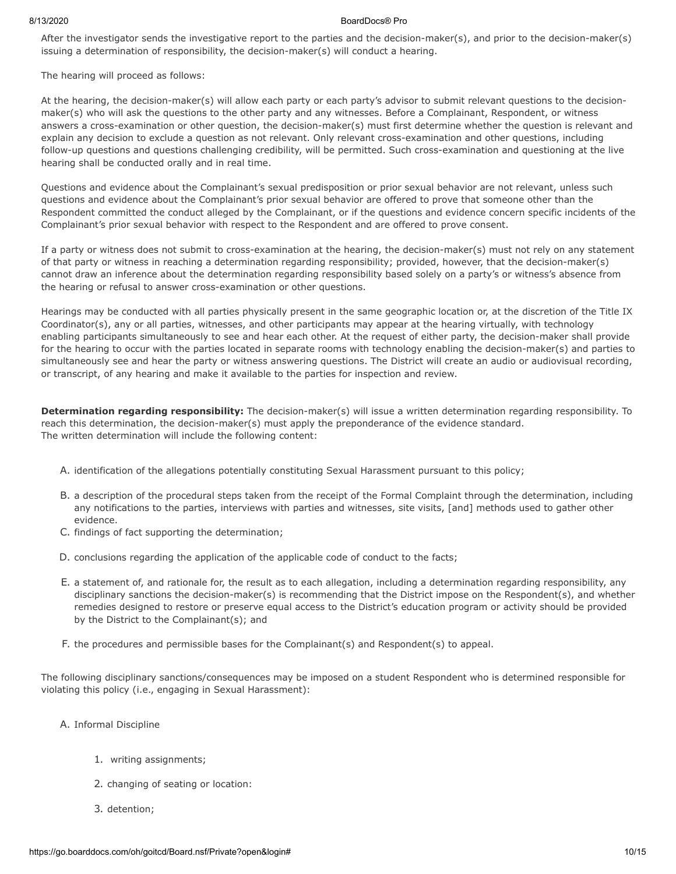After the investigator sends the investigative report to the parties and the decision-maker(s), and prior to the decision-maker(s) issuing a determination of responsibility, the decision-maker(s) will conduct a hearing.

The hearing will proceed as follows:

At the hearing, the decision-maker(s) will allow each party or each party's advisor to submit relevant questions to the decisionmaker(s) who will ask the questions to the other party and any witnesses. Before a Complainant, Respondent, or witness answers a cross-examination or other question, the decision-maker(s) must first determine whether the question is relevant and explain any decision to exclude a question as not relevant. Only relevant cross-examination and other questions, including follow-up questions and questions challenging credibility, will be permitted. Such cross-examination and questioning at the live hearing shall be conducted orally and in real time.

Questions and evidence about the Complainant's sexual predisposition or prior sexual behavior are not relevant, unless such questions and evidence about the Complainant's prior sexual behavior are offered to prove that someone other than the Respondent committed the conduct alleged by the Complainant, or if the questions and evidence concern specific incidents of the Complainant's prior sexual behavior with respect to the Respondent and are offered to prove consent.

If a party or witness does not submit to cross-examination at the hearing, the decision-maker(s) must not rely on any statement of that party or witness in reaching a determination regarding responsibility; provided, however, that the decision-maker(s) cannot draw an inference about the determination regarding responsibility based solely on a party's or witness's absence from the hearing or refusal to answer cross-examination or other questions.

Hearings may be conducted with all parties physically present in the same geographic location or, at the discretion of the Title IX Coordinator(s), any or all parties, witnesses, and other participants may appear at the hearing virtually, with technology enabling participants simultaneously to see and hear each other. At the request of either party, the decision-maker shall provide for the hearing to occur with the parties located in separate rooms with technology enabling the decision-maker(s) and parties to simultaneously see and hear the party or witness answering questions. The District will create an audio or audiovisual recording, or transcript, of any hearing and make it available to the parties for inspection and review.

**Determination regarding responsibility:** The decision-maker(s) will issue a written determination regarding responsibility. To reach this determination, the decision-maker(s) must apply the preponderance of the evidence standard. The written determination will include the following content:

- A. identification of the allegations potentially constituting Sexual Harassment pursuant to this policy;
- B. a description of the procedural steps taken from the receipt of the Formal Complaint through the determination, including any notifications to the parties, interviews with parties and witnesses, site visits, [and] methods used to gather other evidence.
- C. findings of fact supporting the determination;
- D. conclusions regarding the application of the applicable code of conduct to the facts;
- E. a statement of, and rationale for, the result as to each allegation, including a determination regarding responsibility, any disciplinary sanctions the decision-maker(s) is recommending that the District impose on the Respondent(s), and whether remedies designed to restore or preserve equal access to the District's education program or activity should be provided by the District to the Complainant(s); and
- F. the procedures and permissible bases for the Complainant(s) and Respondent(s) to appeal.

The following disciplinary sanctions/consequences may be imposed on a student Respondent who is determined responsible for violating this policy (i.e., engaging in Sexual Harassment):

- A. Informal Discipline
	- 1. writing assignments;
	- 2. changing of seating or location:
	- 3. detention;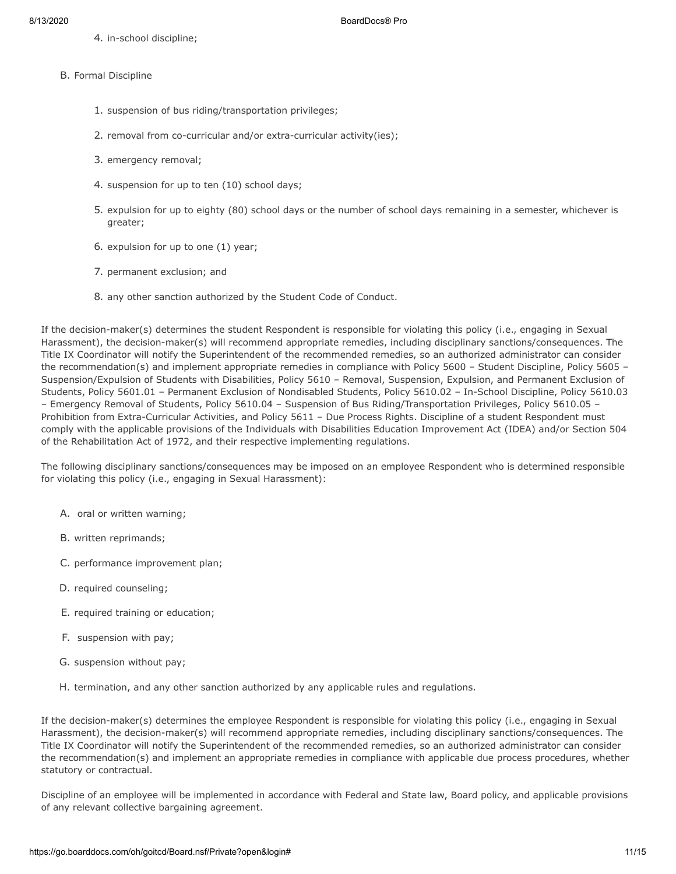4. in-school discipline;

- B. Formal Discipline
	- 1. suspension of bus riding/transportation privileges;
	- 2. removal from co-curricular and/or extra-curricular activity(ies);
	- 3. emergency removal;
	- 4. suspension for up to ten (10) school days;
	- 5. expulsion for up to eighty (80) school days or the number of school days remaining in a semester, whichever is greater;
	- 6. expulsion for up to one (1) year;
	- 7. permanent exclusion; and
	- 8. any other sanction authorized by the Student Code of Conduct.

If the decision-maker(s) determines the student Respondent is responsible for violating this policy (i.e., engaging in Sexual Harassment), the decision-maker(s) will recommend appropriate remedies, including disciplinary sanctions/consequences. The Title IX Coordinator will notify the Superintendent of the recommended remedies, so an authorized administrator can consider the recommendation(s) and implement appropriate remedies in compliance with Policy 5600 – Student Discipline, Policy 5605 – Suspension/Expulsion of Students with Disabilities, Policy 5610 – Removal, Suspension, Expulsion, and Permanent Exclusion of Students, Policy 5601.01 – Permanent Exclusion of Nondisabled Students, Policy 5610.02 – In-School Discipline, Policy 5610.03 – Emergency Removal of Students, Policy 5610.04 – Suspension of Bus Riding/Transportation Privileges, Policy 5610.05 – Prohibition from Extra-Curricular Activities, and Policy 5611 – Due Process Rights. Discipline of a student Respondent must comply with the applicable provisions of the Individuals with Disabilities Education Improvement Act (IDEA) and/or Section 504 of the Rehabilitation Act of 1972, and their respective implementing regulations.

The following disciplinary sanctions/consequences may be imposed on an employee Respondent who is determined responsible for violating this policy (i.e., engaging in Sexual Harassment):

- A. oral or written warning;
- B. written reprimands;
- C. performance improvement plan;
- D. required counseling;
- E. required training or education;
- F. suspension with pay;
- G. suspension without pay;
- H. termination, and any other sanction authorized by any applicable rules and regulations.

If the decision-maker(s) determines the employee Respondent is responsible for violating this policy (i.e., engaging in Sexual Harassment), the decision-maker(s) will recommend appropriate remedies, including disciplinary sanctions/consequences. The Title IX Coordinator will notify the Superintendent of the recommended remedies, so an authorized administrator can consider the recommendation(s) and implement an appropriate remedies in compliance with applicable due process procedures, whether statutory or contractual.

Discipline of an employee will be implemented in accordance with Federal and State law, Board policy, and applicable provisions of any relevant collective bargaining agreement.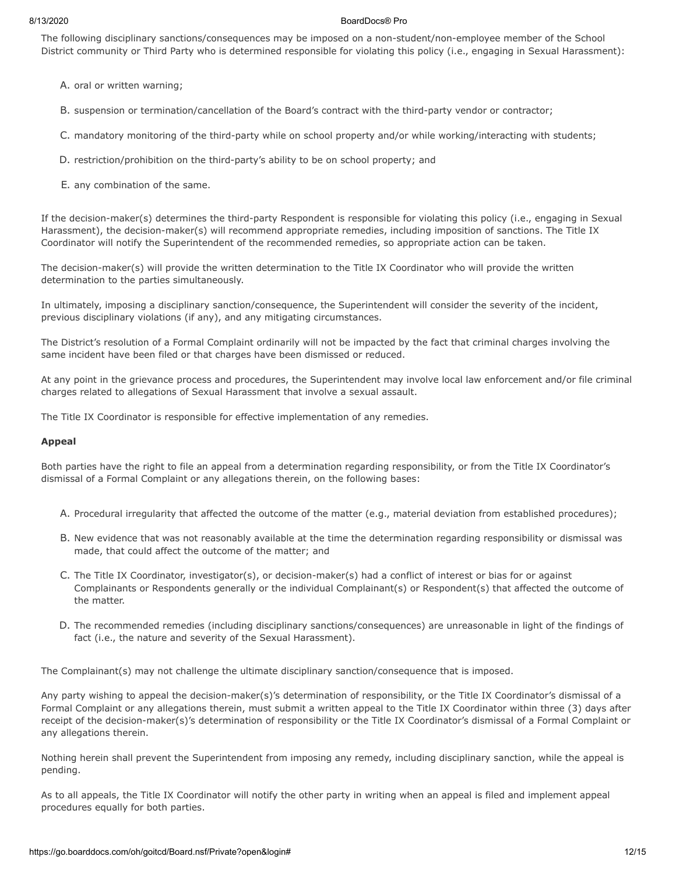The following disciplinary sanctions/consequences may be imposed on a non-student/non-employee member of the School District community or Third Party who is determined responsible for violating this policy (i.e., engaging in Sexual Harassment):

A. oral or written warning;

B. suspension or termination/cancellation of the Board's contract with the third-party vendor or contractor;

C. mandatory monitoring of the third-party while on school property and/or while working/interacting with students;

- D. restriction/prohibition on the third-party's ability to be on school property; and
- E. any combination of the same.

If the decision-maker(s) determines the third-party Respondent is responsible for violating this policy (i.e., engaging in Sexual Harassment), the decision-maker(s) will recommend appropriate remedies, including imposition of sanctions. The Title IX Coordinator will notify the Superintendent of the recommended remedies, so appropriate action can be taken.

The decision-maker(s) will provide the written determination to the Title IX Coordinator who will provide the written determination to the parties simultaneously.

In ultimately, imposing a disciplinary sanction/consequence, the Superintendent will consider the severity of the incident, previous disciplinary violations (if any), and any mitigating circumstances.

The District's resolution of a Formal Complaint ordinarily will not be impacted by the fact that criminal charges involving the same incident have been filed or that charges have been dismissed or reduced.

At any point in the grievance process and procedures, the Superintendent may involve local law enforcement and/or file criminal charges related to allegations of Sexual Harassment that involve a sexual assault.

The Title IX Coordinator is responsible for effective implementation of any remedies.

#### **Appeal**

Both parties have the right to file an appeal from a determination regarding responsibility, or from the Title IX Coordinator's dismissal of a Formal Complaint or any allegations therein, on the following bases:

- A. Procedural irregularity that affected the outcome of the matter (e.g., material deviation from established procedures);
- B. New evidence that was not reasonably available at the time the determination regarding responsibility or dismissal was made, that could affect the outcome of the matter; and
- C. The Title IX Coordinator, investigator(s), or decision-maker(s) had a conflict of interest or bias for or against Complainants or Respondents generally or the individual Complainant(s) or Respondent(s) that affected the outcome of the matter.
- D. The recommended remedies (including disciplinary sanctions/consequences) are unreasonable in light of the findings of fact (i.e., the nature and severity of the Sexual Harassment).

The Complainant(s) may not challenge the ultimate disciplinary sanction/consequence that is imposed.

Any party wishing to appeal the decision-maker(s)'s determination of responsibility, or the Title IX Coordinator's dismissal of a Formal Complaint or any allegations therein, must submit a written appeal to the Title IX Coordinator within three (3) days after receipt of the decision-maker(s)'s determination of responsibility or the Title IX Coordinator's dismissal of a Formal Complaint or any allegations therein.

Nothing herein shall prevent the Superintendent from imposing any remedy, including disciplinary sanction, while the appeal is pending.

As to all appeals, the Title IX Coordinator will notify the other party in writing when an appeal is filed and implement appeal procedures equally for both parties.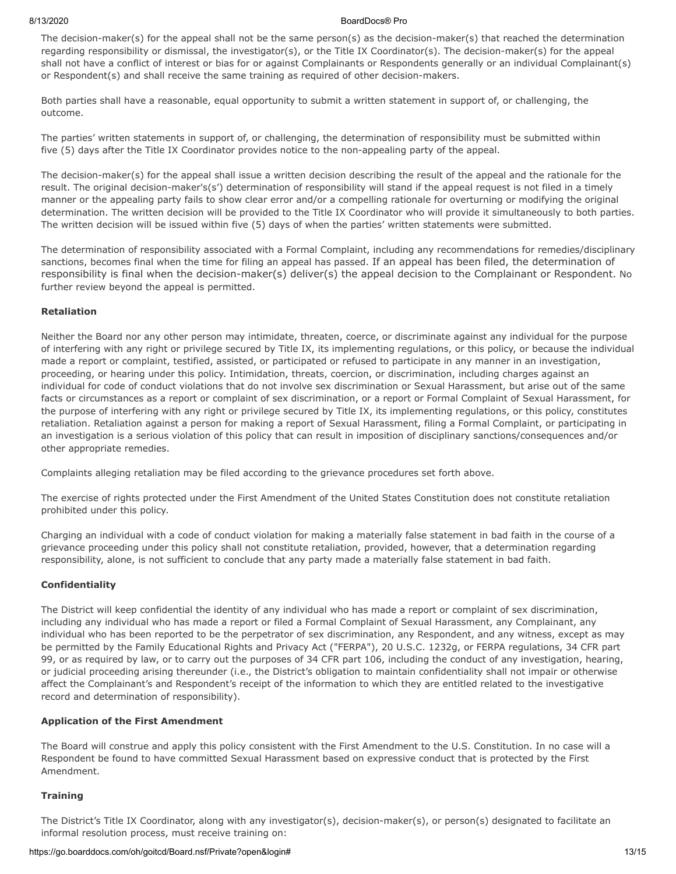The decision-maker(s) for the appeal shall not be the same person(s) as the decision-maker(s) that reached the determination regarding responsibility or dismissal, the investigator(s), or the Title IX Coordinator(s). The decision-maker(s) for the appeal shall not have a conflict of interest or bias for or against Complainants or Respondents generally or an individual Complainant(s) or Respondent(s) and shall receive the same training as required of other decision-makers.

Both parties shall have a reasonable, equal opportunity to submit a written statement in support of, or challenging, the outcome.

The parties' written statements in support of, or challenging, the determination of responsibility must be submitted within five (5) days after the Title IX Coordinator provides notice to the non-appealing party of the appeal.

The decision-maker(s) for the appeal shall issue a written decision describing the result of the appeal and the rationale for the result. The original decision-maker's(s') determination of responsibility will stand if the appeal request is not filed in a timely manner or the appealing party fails to show clear error and/or a compelling rationale for overturning or modifying the original determination. The written decision will be provided to the Title IX Coordinator who will provide it simultaneously to both parties. The written decision will be issued within five (5) days of when the parties' written statements were submitted.

The determination of responsibility associated with a Formal Complaint, including any recommendations for remedies/disciplinary sanctions, becomes final when the time for filing an appeal has passed. If an appeal has been filed, the determination of responsibility is final when the decision-maker(s) deliver(s) the appeal decision to the Complainant or Respondent. No further review beyond the appeal is permitted.

## **Retaliation**

Neither the Board nor any other person may intimidate, threaten, coerce, or discriminate against any individual for the purpose of interfering with any right or privilege secured by Title IX, its implementing regulations, or this policy, or because the individual made a report or complaint, testified, assisted, or participated or refused to participate in any manner in an investigation, proceeding, or hearing under this policy. Intimidation, threats, coercion, or discrimination, including charges against an individual for code of conduct violations that do not involve sex discrimination or Sexual Harassment, but arise out of the same facts or circumstances as a report or complaint of sex discrimination, or a report or Formal Complaint of Sexual Harassment, for the purpose of interfering with any right or privilege secured by Title IX, its implementing regulations, or this policy, constitutes retaliation. Retaliation against a person for making a report of Sexual Harassment, filing a Formal Complaint, or participating in an investigation is a serious violation of this policy that can result in imposition of disciplinary sanctions/consequences and/or other appropriate remedies.

Complaints alleging retaliation may be filed according to the grievance procedures set forth above.

The exercise of rights protected under the First Amendment of the United States Constitution does not constitute retaliation prohibited under this policy.

Charging an individual with a code of conduct violation for making a materially false statement in bad faith in the course of a grievance proceeding under this policy shall not constitute retaliation, provided, however, that a determination regarding responsibility, alone, is not sufficient to conclude that any party made a materially false statement in bad faith.

## **Confidentiality**

The District will keep confidential the identity of any individual who has made a report or complaint of sex discrimination, including any individual who has made a report or filed a Formal Complaint of Sexual Harassment, any Complainant, any individual who has been reported to be the perpetrator of sex discrimination, any Respondent, and any witness, except as may be permitted by the Family Educational Rights and Privacy Act ("FERPA"), 20 U.S.C. 1232g, or FERPA regulations, 34 CFR part 99, or as required by law, or to carry out the purposes of 34 CFR part 106, including the conduct of any investigation, hearing, or judicial proceeding arising thereunder (i.e., the District's obligation to maintain confidentiality shall not impair or otherwise affect the Complainant's and Respondent's receipt of the information to which they are entitled related to the investigative record and determination of responsibility).

#### **Application of the First Amendment**

The Board will construe and apply this policy consistent with the First Amendment to the U.S. Constitution. In no case will a Respondent be found to have committed Sexual Harassment based on expressive conduct that is protected by the First Amendment.

#### **Training**

The District's Title IX Coordinator, along with any investigator(s), decision-maker(s), or person(s) designated to facilitate an informal resolution process, must receive training on: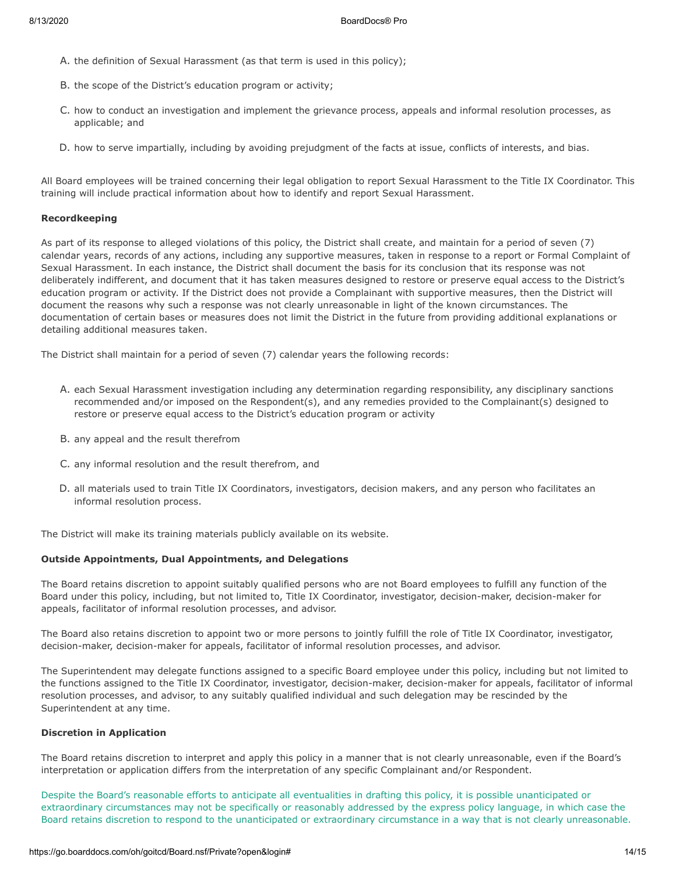- A. the definition of Sexual Harassment (as that term is used in this policy);
- B. the scope of the District's education program or activity;
- C. how to conduct an investigation and implement the grievance process, appeals and informal resolution processes, as applicable; and
- D. how to serve impartially, including by avoiding prejudgment of the facts at issue, conflicts of interests, and bias.

All Board employees will be trained concerning their legal obligation to report Sexual Harassment to the Title IX Coordinator. This training will include practical information about how to identify and report Sexual Harassment.

# **Recordkeeping**

As part of its response to alleged violations of this policy, the District shall create, and maintain for a period of seven (7) calendar years, records of any actions, including any supportive measures, taken in response to a report or Formal Complaint of Sexual Harassment. In each instance, the District shall document the basis for its conclusion that its response was not deliberately indifferent, and document that it has taken measures designed to restore or preserve equal access to the District's education program or activity. If the District does not provide a Complainant with supportive measures, then the District will document the reasons why such a response was not clearly unreasonable in light of the known circumstances. The documentation of certain bases or measures does not limit the District in the future from providing additional explanations or detailing additional measures taken.

The District shall maintain for a period of seven (7) calendar years the following records:

- A. each Sexual Harassment investigation including any determination regarding responsibility, any disciplinary sanctions recommended and/or imposed on the Respondent(s), and any remedies provided to the Complainant(s) designed to restore or preserve equal access to the District's education program or activity
- B. any appeal and the result therefrom
- C. any informal resolution and the result therefrom, and
- D. all materials used to train Title IX Coordinators, investigators, decision makers, and any person who facilitates an informal resolution process.

The District will make its training materials publicly available on its website.

## **Outside Appointments, Dual Appointments, and Delegations**

The Board retains discretion to appoint suitably qualified persons who are not Board employees to fulfill any function of the Board under this policy, including, but not limited to, Title IX Coordinator, investigator, decision-maker, decision-maker for appeals, facilitator of informal resolution processes, and advisor.

The Board also retains discretion to appoint two or more persons to jointly fulfill the role of Title IX Coordinator, investigator, decision-maker, decision-maker for appeals, facilitator of informal resolution processes, and advisor.

The Superintendent may delegate functions assigned to a specific Board employee under this policy, including but not limited to the functions assigned to the Title IX Coordinator, investigator, decision-maker, decision-maker for appeals, facilitator of informal resolution processes, and advisor, to any suitably qualified individual and such delegation may be rescinded by the Superintendent at any time.

## **Discretion in Application**

The Board retains discretion to interpret and apply this policy in a manner that is not clearly unreasonable, even if the Board's interpretation or application differs from the interpretation of any specific Complainant and/or Respondent.

Despite the Board's reasonable efforts to anticipate all eventualities in drafting this policy, it is possible unanticipated or extraordinary circumstances may not be specifically or reasonably addressed by the express policy language, in which case the Board retains discretion to respond to the unanticipated or extraordinary circumstance in a way that is not clearly unreasonable.